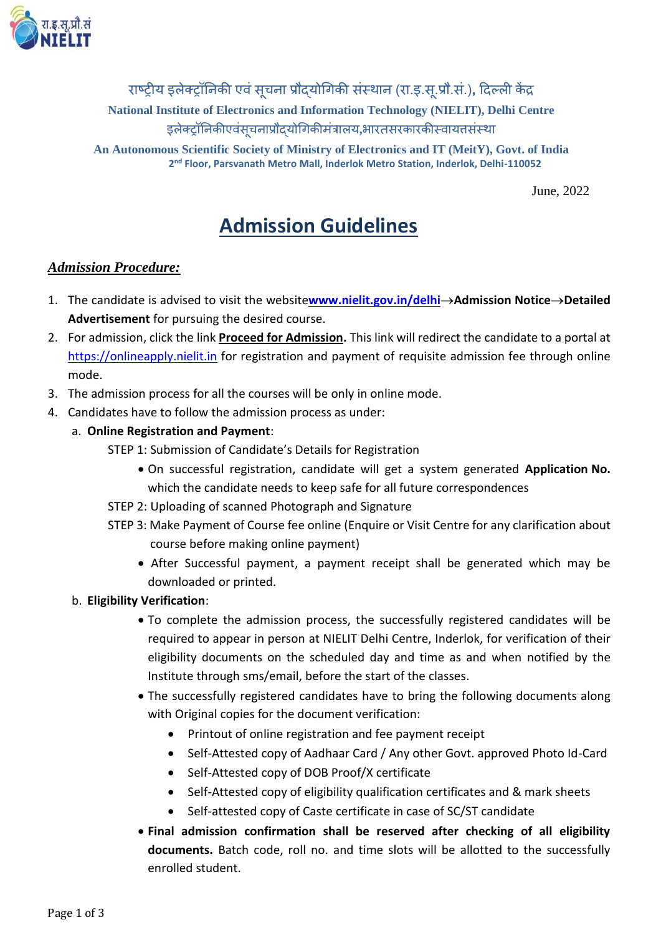

राष्ट्रीय इलेक्ट्रॉनिकी एवं सूचना प्रौदयोगिकी संस्थान (रा.इ.सू.प्रौ.सं.)**,** दिल्ली केंद्र **National Institute of Electronics and Information Technology (NIELIT), Delhi Centre** इलेक्ट्रॉनिकीएवंस्**चनाप्रौदयोगिकीमंत्रालय,भारतसरकारकीस्वाय**त्तसंस्था

**An Autonomous Scientific Society of Ministry of Electronics and IT (MeitY), Govt. of India 2 nd Floor, Parsvanath Metro Mall, Inderlok Metro Station, Inderlok, Delhi-110052**

June, 2022

# **Admission Guidelines**

## *Admission Procedure:*

- 1. The candidate is advised to visit the website[www.nielit.gov.in/delhi](http://www.nielit.gov.in/delhi)->Admission Notice->Detailed **Advertisement** for pursuing the desired course.
- 2. For admission, click the link **Proceed for Admission.** This link will redirect the candidate to a portal at [https://onlineapply.nielit.in](https://onlineapply.nielit.in/) for registration and payment of requisite admission fee through online mode.
- 3. The admission process for all the courses will be only in online mode.
- 4. Candidates have to follow the admission process as under:
	- a. **Online Registration and Payment**:
		- STEP 1: Submission of Candidate's Details for Registration
			- On successful registration, candidate will get a system generated **Application No.** which the candidate needs to keep safe for all future correspondences
		- STEP 2: Uploading of scanned Photograph and Signature
		- STEP 3: Make Payment of Course fee online (Enquire or Visit Centre for any clarification about course before making online payment)
			- After Successful payment, a payment receipt shall be generated which may be downloaded or printed.
	- b. **Eligibility Verification**:
		- To complete the admission process, the successfully registered candidates will be required to appear in person at NIELIT Delhi Centre, Inderlok, for verification of their eligibility documents on the scheduled day and time as and when notified by the Institute through sms/email, before the start of the classes.
		- The successfully registered candidates have to bring the following documents along with Original copies for the document verification:
			- Printout of online registration and fee payment receipt
			- Self-Attested copy of Aadhaar Card / Any other Govt. approved Photo Id-Card
			- Self-Attested copy of DOB Proof/X certificate
			- Self-Attested copy of eligibility qualification certificates and & mark sheets
			- Self-attested copy of Caste certificate in case of SC/ST candidate
		- **Final admission confirmation shall be reserved after checking of all eligibility documents.** Batch code, roll no. and time slots will be allotted to the successfully enrolled student.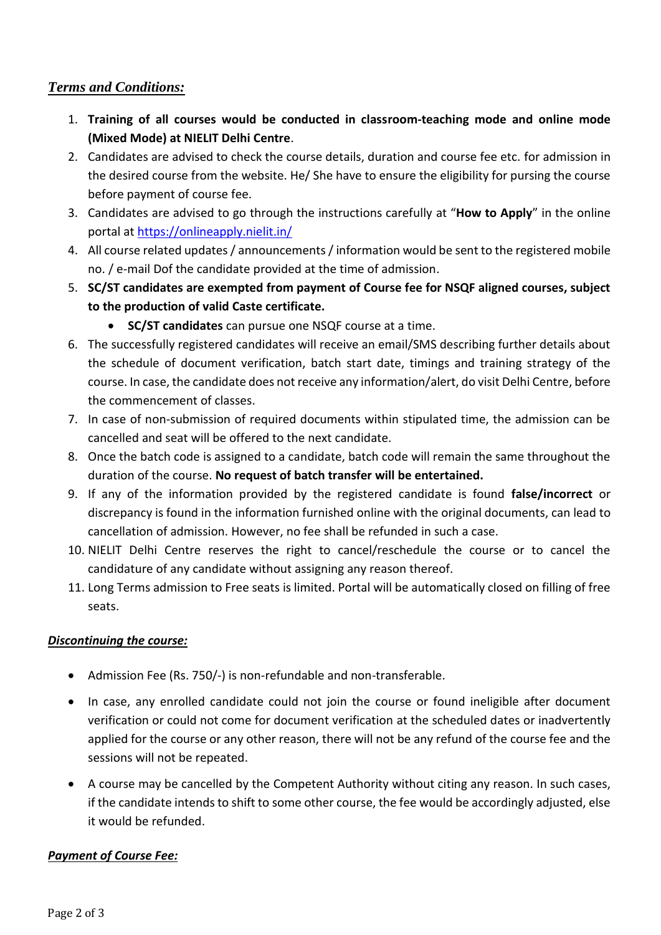### *Terms and Conditions:*

- 1. **Training of all courses would be conducted in classroom-teaching mode and online mode (Mixed Mode) at NIELIT Delhi Centre**.
- 2. Candidates are advised to check the course details, duration and course fee etc. for admission in the desired course from the website. He/ She have to ensure the eligibility for pursing the course before payment of course fee.
- 3. Candidates are advised to go through the instructions carefully at "**How to Apply**" in the online portal a[t https://onlineapply.nielit.in/](https://onlineapply.nielit.in/)
- 4. All course related updates / announcements / information would be sent to the registered mobile no. / e-mail Dof the candidate provided at the time of admission.
- 5. **SC/ST candidates are exempted from payment of Course fee for NSQF aligned courses, subject to the production of valid Caste certificate.** 
	- **SC/ST candidates** can pursue one NSQF course at a time.
- 6. The successfully registered candidates will receive an email/SMS describing further details about the schedule of document verification, batch start date, timings and training strategy of the course. In case, the candidate does not receive any information/alert, do visit Delhi Centre, before the commencement of classes.
- 7. In case of non-submission of required documents within stipulated time, the admission can be cancelled and seat will be offered to the next candidate.
- 8. Once the batch code is assigned to a candidate, batch code will remain the same throughout the duration of the course. **No request of batch transfer will be entertained.**
- 9. If any of the information provided by the registered candidate is found **false/incorrect** or discrepancy is found in the information furnished online with the original documents, can lead to cancellation of admission. However, no fee shall be refunded in such a case.
- 10. NIELIT Delhi Centre reserves the right to cancel/reschedule the course or to cancel the candidature of any candidate without assigning any reason thereof.
- 11. Long Terms admission to Free seats is limited. Portal will be automatically closed on filling of free seats.

#### *Discontinuing the course:*

- Admission Fee (Rs. 750/-) is non-refundable and non-transferable.
- In case, any enrolled candidate could not join the course or found ineligible after document verification or could not come for document verification at the scheduled dates or inadvertently applied for the course or any other reason, there will not be any refund of the course fee and the sessions will not be repeated.
- A course may be cancelled by the Competent Authority without citing any reason. In such cases, if the candidate intends to shift to some other course, the fee would be accordingly adjusted, else it would be refunded.

#### *Payment of Course Fee:*